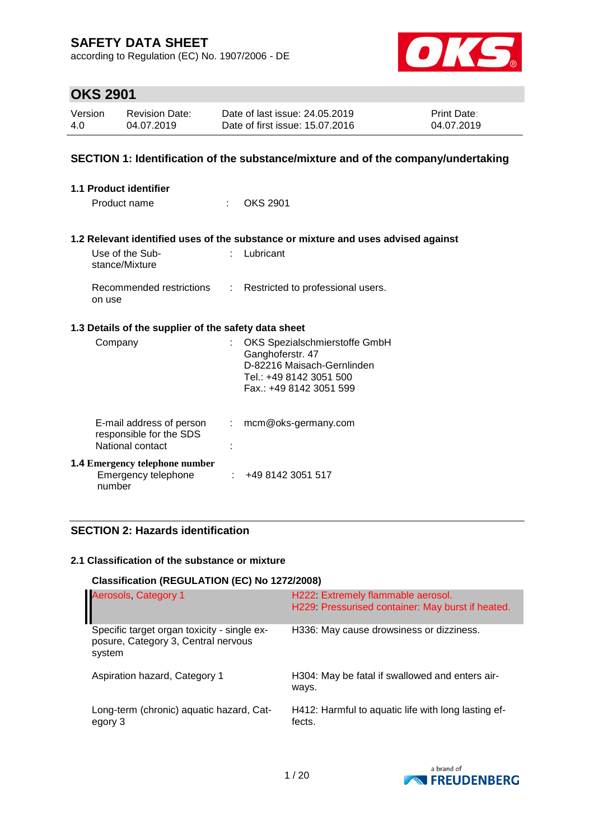according to Regulation (EC) No. 1907/2006 - DE



# **OKS 2901**

| Version | <b>Revision Date:</b> | Date of last issue: 24.05.2019  | <b>Print Date:</b> |
|---------|-----------------------|---------------------------------|--------------------|
| 4.0     | 04.07.2019            | Date of first issue: 15.07.2016 | 04.07.2019         |

### **SECTION 1: Identification of the substance/mixture and of the company/undertaking**

| 1.1 Product identifier                                                  |                |                                                                                                                                       |  |  |
|-------------------------------------------------------------------------|----------------|---------------------------------------------------------------------------------------------------------------------------------------|--|--|
| Product name                                                            | t in           | <b>OKS 2901</b>                                                                                                                       |  |  |
|                                                                         |                | 1.2 Relevant identified uses of the substance or mixture and uses advised against                                                     |  |  |
| Use of the Sub-<br>stance/Mixture                                       | t.             | Lubricant                                                                                                                             |  |  |
| Recommended restrictions :<br>on use                                    |                | Restricted to professional users.                                                                                                     |  |  |
| 1.3 Details of the supplier of the safety data sheet                    |                |                                                                                                                                       |  |  |
| Company                                                                 | ÷              | OKS Spezialschmierstoffe GmbH<br>Ganghoferstr. 47<br>D-82216 Maisach-Gernlinden<br>Tel.: +49 8142 3051 500<br>Fax.: +49 8142 3051 599 |  |  |
| E-mail address of person<br>responsible for the SDS<br>National contact | $\mathbb{R}^n$ | mcm@oks-germany.com                                                                                                                   |  |  |
| <b>1.4 Emergency telephone number</b><br>Emergency telephone<br>number  |                | : 4981423051517                                                                                                                       |  |  |

### **SECTION 2: Hazards identification**

#### **2.1 Classification of the substance or mixture**

#### **Classification (REGULATION (EC) No 1272/2008)**

| Aerosols, Category 1                                                                         | H222 Extremely flammable aerosol.<br>H229. Pressurised container: May burst if heated. |
|----------------------------------------------------------------------------------------------|----------------------------------------------------------------------------------------|
| Specific target organ toxicity - single ex-<br>posure, Category 3, Central nervous<br>system | H336: May cause drowsiness or dizziness.                                               |
| Aspiration hazard, Category 1                                                                | H304: May be fatal if swallowed and enters air-<br>ways.                               |
| Long-term (chronic) aquatic hazard, Cat-<br>egory 3                                          | H412: Harmful to aquatic life with long lasting ef-<br>fects.                          |

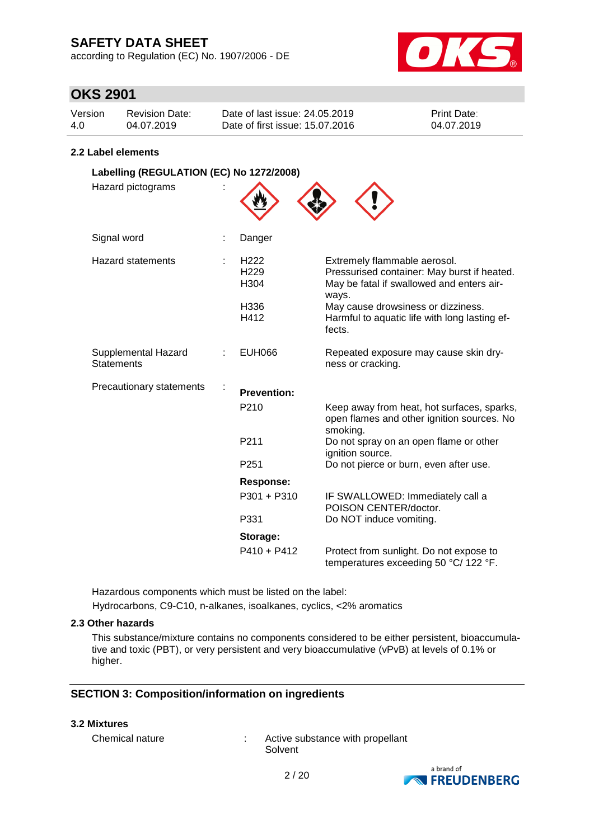according to Regulation (EC) No. 1907/2006 - DE



### **OKS 2901**

| Version | <b>Revision Date:</b> | Date of last issue: 24.05.2019  | <b>Print Date:</b> |
|---------|-----------------------|---------------------------------|--------------------|
| 4.0     | 04.07.2019            | Date of first issue: 15.07.2016 | 04.07.2019         |

#### **2.2 Label elements**

| Labelling (REGULATION (EC) No 1272/2008) |                                                              |                                                                                                                                                                                                                          |
|------------------------------------------|--------------------------------------------------------------|--------------------------------------------------------------------------------------------------------------------------------------------------------------------------------------------------------------------------|
| Hazard pictograms                        |                                                              |                                                                                                                                                                                                                          |
| Signal word                              | Danger                                                       |                                                                                                                                                                                                                          |
| <b>Hazard statements</b>                 | H <sub>222</sub><br>H <sub>229</sub><br>H304<br>H336<br>H412 | Extremely flammable aerosol.<br>Pressurised container: May burst if heated.<br>May be fatal if swallowed and enters air-<br>ways.<br>May cause drowsiness or dizziness.<br>Harmful to aquatic life with long lasting ef- |
|                                          |                                                              | fects.                                                                                                                                                                                                                   |
| Supplemental Hazard<br><b>Statements</b> | <b>EUH066</b>                                                | Repeated exposure may cause skin dry-<br>ness or cracking.                                                                                                                                                               |
| Precautionary statements                 | <b>Prevention:</b>                                           |                                                                                                                                                                                                                          |
|                                          | P210                                                         | Keep away from heat, hot surfaces, sparks,<br>open flames and other ignition sources. No<br>smoking.                                                                                                                     |
|                                          | P <sub>211</sub>                                             | Do not spray on an open flame or other<br>ignition source.                                                                                                                                                               |
|                                          | P251                                                         | Do not pierce or burn, even after use.                                                                                                                                                                                   |
|                                          | <b>Response:</b>                                             |                                                                                                                                                                                                                          |
|                                          | $P301 + P310$                                                | IF SWALLOWED: Immediately call a<br>POISON CENTER/doctor.                                                                                                                                                                |
|                                          | P331                                                         | Do NOT induce vomiting.                                                                                                                                                                                                  |
|                                          | Storage:                                                     |                                                                                                                                                                                                                          |
|                                          | $P410 + P412$                                                | Protect from sunlight. Do not expose to<br>temperatures exceeding 50 °C/ 122 °F.                                                                                                                                         |

Hazardous components which must be listed on the label:

Hydrocarbons, C9-C10, n-alkanes, isoalkanes, cyclics, <2% aromatics

### **2.3 Other hazards**

This substance/mixture contains no components considered to be either persistent, bioaccumulative and toxic (PBT), or very persistent and very bioaccumulative (vPvB) at levels of 0.1% or higher.

### **SECTION 3: Composition/information on ingredients**

#### **3.2 Mixtures**

Chemical nature : Active substance with propellant Solvent

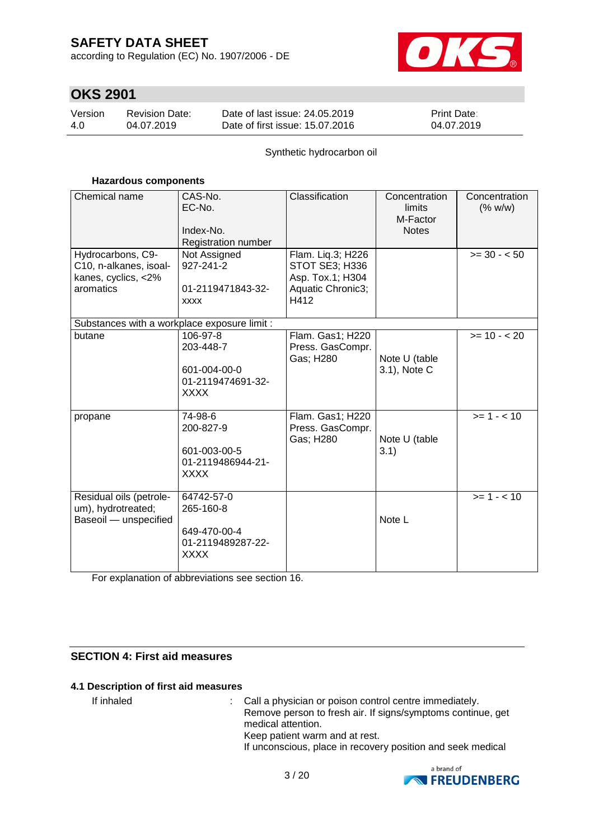according to Regulation (EC) No. 1907/2006 - DE



# **OKS 2901**

| Version | <b>Revision Date:</b> | Date of last issue: 24.05.2019  | <b>Print Date:</b> |
|---------|-----------------------|---------------------------------|--------------------|
| 4.0     | 04.07.2019            | Date of first issue: 15.07.2016 | 04.07.2019         |

Synthetic hydrocarbon oil

#### **Hazardous components**

| Chemical name                                                                   | CAS-No.<br>EC-No.<br>Index-No.<br>Registration number                       | Classification                                                                       | Concentration<br>limits<br>M-Factor<br><b>Notes</b> | Concentration<br>(% w/w) |
|---------------------------------------------------------------------------------|-----------------------------------------------------------------------------|--------------------------------------------------------------------------------------|-----------------------------------------------------|--------------------------|
| Hydrocarbons, C9-<br>C10, n-alkanes, isoal-<br>kanes, cyclics, <2%<br>aromatics | Not Assigned<br>927-241-2<br>01-2119471843-32-<br><b>XXXX</b>               | Flam. Liq.3; H226<br>STOT SE3; H336<br>Asp. Tox.1; H304<br>Aquatic Chronic3;<br>H412 |                                                     | $>= 30 - 50$             |
| Substances with a workplace exposure limit :                                    |                                                                             |                                                                                      |                                                     |                          |
| butane                                                                          | 106-97-8<br>203-448-7<br>601-004-00-0<br>01-2119474691-32-<br><b>XXXX</b>   | Flam. Gas1; H220<br>Press. GasCompr.<br>Gas; H280                                    | Note U (table<br>3.1), Note C                       | $>= 10 - 20$             |
| propane                                                                         | 74-98-6<br>200-827-9<br>601-003-00-5<br>01-2119486944-21-<br><b>XXXX</b>    | Flam. Gas1; H220<br>Press. GasCompr.<br>Gas; H280                                    | Note U (table<br>3.1)                               | $>= 1 - 10$              |
| Residual oils (petrole-<br>um), hydrotreated;<br>Baseoil - unspecified          | 64742-57-0<br>265-160-8<br>649-470-00-4<br>01-2119489287-22-<br><b>XXXX</b> |                                                                                      | Note L                                              | $>= 1 - 10$              |

For explanation of abbreviations see section 16.

### **SECTION 4: First aid measures**

### **4.1 Description of first aid measures**

If inhaled : Call a physician or poison control centre immediately. Remove person to fresh air. If signs/symptoms continue, get medical attention. Keep patient warm and at rest. If unconscious, place in recovery position and seek medical

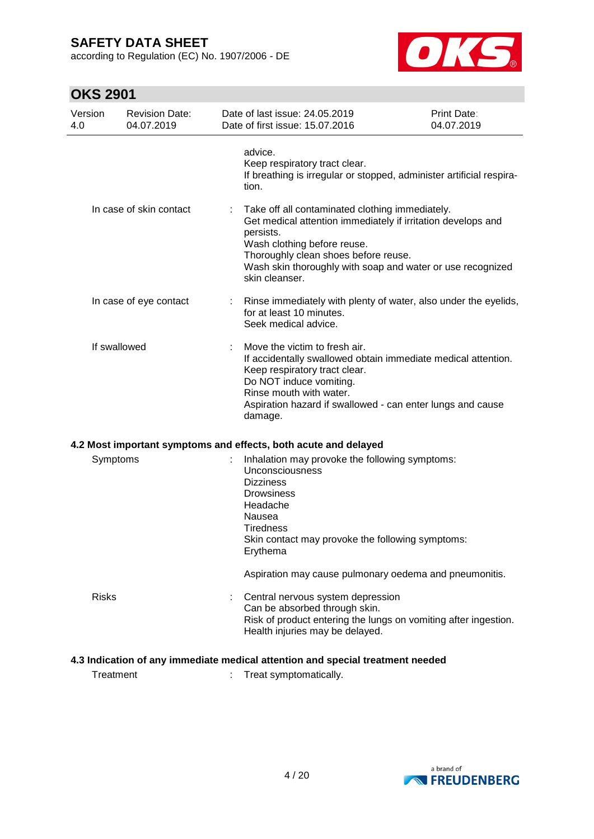according to Regulation (EC) No. 1907/2006 - DE



# **OKS 2901**

| Version<br>4.0 | <b>Revision Date:</b><br>04.07.2019 | Date of last issue: 24.05.2019<br>Date of first issue: 15.07.2016                                                                                                                                                           | <b>Print Date:</b><br>04.07.2019                                     |
|----------------|-------------------------------------|-----------------------------------------------------------------------------------------------------------------------------------------------------------------------------------------------------------------------------|----------------------------------------------------------------------|
|                |                                     | advice.<br>Keep respiratory tract clear.<br>tion.                                                                                                                                                                           | If breathing is irregular or stopped, administer artificial respira- |
|                | In case of skin contact             | Take off all contaminated clothing immediately.<br>Get medical attention immediately if irritation develops and<br>persists.<br>Wash clothing before reuse.<br>Thoroughly clean shoes before reuse.<br>skin cleanser.       | Wash skin thoroughly with soap and water or use recognized           |
|                | In case of eye contact              | for at least 10 minutes.<br>Seek medical advice.                                                                                                                                                                            | Rinse immediately with plenty of water, also under the eyelids,      |
|                | If swallowed                        | Move the victim to fresh air.<br>Keep respiratory tract clear.<br>Do NOT induce vomiting.<br>Rinse mouth with water.<br>Aspiration hazard if swallowed - can enter lungs and cause<br>damage.                               | If accidentally swallowed obtain immediate medical attention.        |
|                |                                     | 4.2 Most important symptoms and effects, both acute and delayed                                                                                                                                                             |                                                                      |
| Symptoms       |                                     | Inhalation may provoke the following symptoms:<br><b>Unconsciousness</b><br><b>Dizziness</b><br><b>Drowsiness</b><br>Headache<br>Nausea<br><b>Tiredness</b><br>Skin contact may provoke the following symptoms:<br>Erythema |                                                                      |
|                |                                     | Aspiration may cause pulmonary oedema and pneumonitis.                                                                                                                                                                      |                                                                      |
| <b>Risks</b>   |                                     | Central nervous system depression<br>Can be absorbed through skin.<br>Health injuries may be delayed.                                                                                                                       | Risk of product entering the lungs on vomiting after ingestion.      |
|                |                                     | 4.3 Indication of any immediate medical attention and special treatment needed                                                                                                                                              |                                                                      |
| Treatment      |                                     | Treat symptomatically.                                                                                                                                                                                                      |                                                                      |

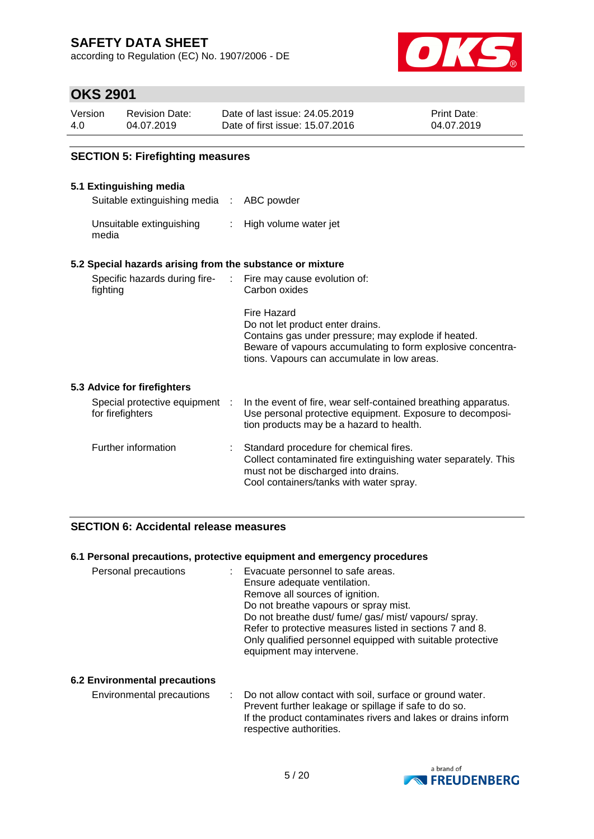according to Regulation (EC) No. 1907/2006 - DE



### **OKS 2901**

| Version | <b>Revision Date:</b> | Date of last issue: 24,05,2019  | <b>Print Date:</b> |
|---------|-----------------------|---------------------------------|--------------------|
| 4.0     | 04.07.2019            | Date of first issue: 15.07.2016 | 04.07.2019         |

### **SECTION 5: Firefighting measures**

#### **5.1 Extinguishing media**

Suitable extinguishing media : ABC powder

Unsuitable extinguishing media : High volume water jet

#### **5.2 Special hazards arising from the substance or mixture**

| Specific hazards during fire-<br>fighting          | di l | Fire may cause evolution of:<br>Carbon oxides                                                                                                                                                                        |
|----------------------------------------------------|------|----------------------------------------------------------------------------------------------------------------------------------------------------------------------------------------------------------------------|
|                                                    |      | Fire Hazard<br>Do not let product enter drains.<br>Contains gas under pressure; may explode if heated.<br>Beware of vapours accumulating to form explosive concentra-<br>tions. Vapours can accumulate in low areas. |
| 5.3 Advice for firefighters                        |      |                                                                                                                                                                                                                      |
| Special protective equipment :<br>for firefighters |      | In the event of fire, wear self-contained breathing apparatus.<br>Use personal protective equipment. Exposure to decomposi-<br>tion products may be a hazard to health.                                              |
| Further information                                |      | Standard procedure for chemical fires.                                                                                                                                                                               |

#### Further information : Standard procedure for chemical fires. Collect contaminated fire extinguishing water separately. This must not be discharged into drains. Cool containers/tanks with water spray.

#### **SECTION 6: Accidental release measures**

#### **6.1 Personal precautions, protective equipment and emergency procedures**

| Personal precautions | : Evacuate personnel to safe areas.<br>Ensure adequate ventilation.<br>Remove all sources of ignition.<br>Do not breathe vapours or spray mist.<br>Do not breathe dust/fume/gas/mist/vapours/spray.<br>Refer to protective measures listed in sections 7 and 8.<br>Only qualified personnel equipped with suitable protective<br>equipment may intervene. |
|----------------------|-----------------------------------------------------------------------------------------------------------------------------------------------------------------------------------------------------------------------------------------------------------------------------------------------------------------------------------------------------------|
|----------------------|-----------------------------------------------------------------------------------------------------------------------------------------------------------------------------------------------------------------------------------------------------------------------------------------------------------------------------------------------------------|

#### **6.2 Environmental precautions**

Environmental precautions : Do not allow contact with soil, surface or ground water. Prevent further leakage or spillage if safe to do so. If the product contaminates rivers and lakes or drains inform respective authorities.

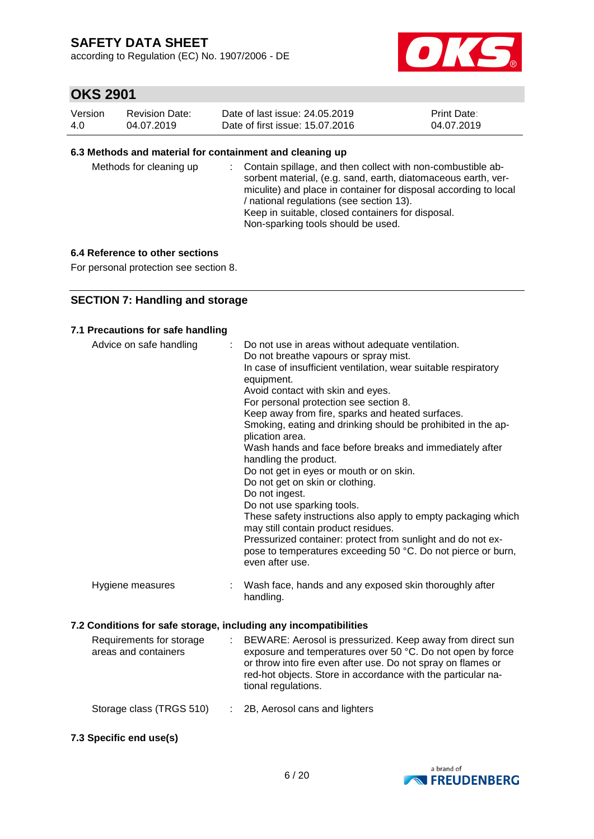according to Regulation (EC) No. 1907/2006 - DE



### **OKS 2901**

| Version | Revision Date: | Date of last issue: 24,05,2019  | <b>Print Date:</b> |
|---------|----------------|---------------------------------|--------------------|
| 4.0     | 04.07.2019     | Date of first issue: 15.07.2016 | 04.07.2019         |

#### **6.3 Methods and material for containment and cleaning up**

| Methods for cleaning up |  | : Contain spillage, and then collect with non-combustible ab-<br>sorbent material, (e.g. sand, earth, diatomaceous earth, ver-<br>miculite) and place in container for disposal according to local<br>/ national regulations (see section 13).<br>Keep in suitable, closed containers for disposal.<br>Non-sparking tools should be used. |
|-------------------------|--|-------------------------------------------------------------------------------------------------------------------------------------------------------------------------------------------------------------------------------------------------------------------------------------------------------------------------------------------|
|-------------------------|--|-------------------------------------------------------------------------------------------------------------------------------------------------------------------------------------------------------------------------------------------------------------------------------------------------------------------------------------------|

#### **6.4 Reference to other sections**

For personal protection see section 8.

### **SECTION 7: Handling and storage**

#### **7.1 Precautions for safe handling**

| Advice on safe handling | ÷ | Do not use in areas without adequate ventilation.<br>Do not breathe vapours or spray mist.<br>In case of insufficient ventilation, wear suitable respiratory<br>equipment.<br>Avoid contact with skin and eyes.<br>For personal protection see section 8.<br>Keep away from fire, sparks and heated surfaces.<br>Smoking, eating and drinking should be prohibited in the ap-<br>plication area.<br>Wash hands and face before breaks and immediately after<br>handling the product.<br>Do not get in eyes or mouth or on skin.<br>Do not get on skin or clothing.<br>Do not ingest.<br>Do not use sparking tools.<br>These safety instructions also apply to empty packaging which<br>may still contain product residues.<br>Pressurized container: protect from sunlight and do not ex-<br>pose to temperatures exceeding 50 °C. Do not pierce or burn,<br>even after use. |
|-------------------------|---|------------------------------------------------------------------------------------------------------------------------------------------------------------------------------------------------------------------------------------------------------------------------------------------------------------------------------------------------------------------------------------------------------------------------------------------------------------------------------------------------------------------------------------------------------------------------------------------------------------------------------------------------------------------------------------------------------------------------------------------------------------------------------------------------------------------------------------------------------------------------------|
| Hygiene measures        | ÷ | Wash face, hands and any exposed skin thoroughly after<br>handling.                                                                                                                                                                                                                                                                                                                                                                                                                                                                                                                                                                                                                                                                                                                                                                                                          |



**7.3 Specific end use(s)**

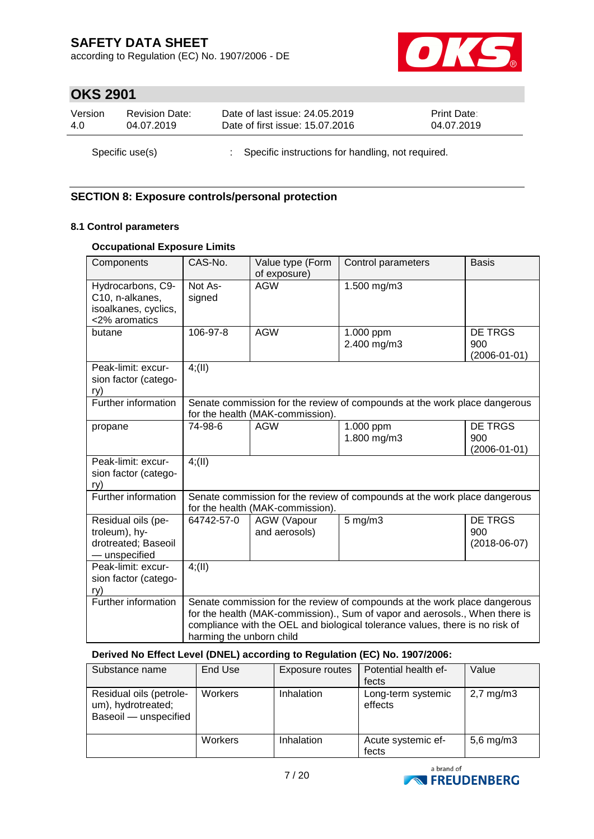according to Regulation (EC) No. 1907/2006 - DE



# **OKS 2901**

| Version | <b>Revision Date:</b> | Date of last issue: 24.05.2019                      | <b>Print Date:</b> |
|---------|-----------------------|-----------------------------------------------------|--------------------|
| 4.0     | 04.07.2019            | Date of first issue: 15.07.2016                     | 04.07.2019         |
|         | Specific use(s)       | : Specific instructions for handling, not required. |                    |

### **SECTION 8: Exposure controls/personal protection**

### **8.1 Control parameters**

### **Occupational Exposure Limits**

| Components                                                                    | CAS-No.                                                                                                                                                                                                                                                              | Value type (Form<br>of exposure)                                                                              | Control parameters         | <b>Basis</b>                                |  |  |
|-------------------------------------------------------------------------------|----------------------------------------------------------------------------------------------------------------------------------------------------------------------------------------------------------------------------------------------------------------------|---------------------------------------------------------------------------------------------------------------|----------------------------|---------------------------------------------|--|--|
| Hydrocarbons, C9-<br>C10, n-alkanes,<br>isoalkanes, cyclics,<br><2% aromatics | Not As-<br>signed                                                                                                                                                                                                                                                    | <b>AGW</b>                                                                                                    | 1.500 mg/m3                |                                             |  |  |
| butane                                                                        | 106-97-8                                                                                                                                                                                                                                                             | <b>AGW</b>                                                                                                    | 1.000 ppm<br>2.400 mg/m3   | <b>DE TRGS</b><br>900<br>$(2006 - 01 - 01)$ |  |  |
| Peak-limit: excur-<br>sion factor (catego-<br>ry)                             | 4(11)                                                                                                                                                                                                                                                                |                                                                                                               |                            |                                             |  |  |
| Further information                                                           |                                                                                                                                                                                                                                                                      | Senate commission for the review of compounds at the work place dangerous<br>for the health (MAK-commission). |                            |                                             |  |  |
| propane                                                                       | 74-98-6                                                                                                                                                                                                                                                              | <b>AGW</b>                                                                                                    | $1.000$ ppm<br>1.800 mg/m3 | <b>DE TRGS</b><br>900<br>$(2006 - 01 - 01)$ |  |  |
| Peak-limit: excur-<br>sion factor (catego-<br>ry)                             | 4(11)                                                                                                                                                                                                                                                                |                                                                                                               |                            |                                             |  |  |
| Further information                                                           | Senate commission for the review of compounds at the work place dangerous<br>for the health (MAK-commission).                                                                                                                                                        |                                                                                                               |                            |                                             |  |  |
| Residual oils (pe-<br>troleum), hy-<br>drotreated; Baseoil<br>- unspecified   | 64742-57-0                                                                                                                                                                                                                                                           | <b>AGW</b> (Vapour<br>and aerosols)                                                                           | $5$ mg/m $3$               | <b>DE TRGS</b><br>900<br>$(2018-06-07)$     |  |  |
| Peak-limit: excur-<br>sion factor (catego-<br>ry)                             | 4(11)                                                                                                                                                                                                                                                                |                                                                                                               |                            |                                             |  |  |
| Further information                                                           | Senate commission for the review of compounds at the work place dangerous<br>for the health (MAK-commission)., Sum of vapor and aerosols., When there is<br>compliance with the OEL and biological tolerance values, there is no risk of<br>harming the unborn child |                                                                                                               |                            |                                             |  |  |

### **Derived No Effect Level (DNEL) according to Regulation (EC) No. 1907/2006:**

| Substance name                                                         | End Use        | Exposure routes | Potential health ef-<br>fects | Value          |
|------------------------------------------------------------------------|----------------|-----------------|-------------------------------|----------------|
| Residual oils (petrole-<br>um), hydrotreated;<br>Baseoil - unspecified | <b>Workers</b> | Inhalation      | Long-term systemic<br>effects | $2,7$ mg/m $3$ |
|                                                                        | Workers        | Inhalation      | Acute systemic ef-<br>fects   | $5,6$ mg/m $3$ |

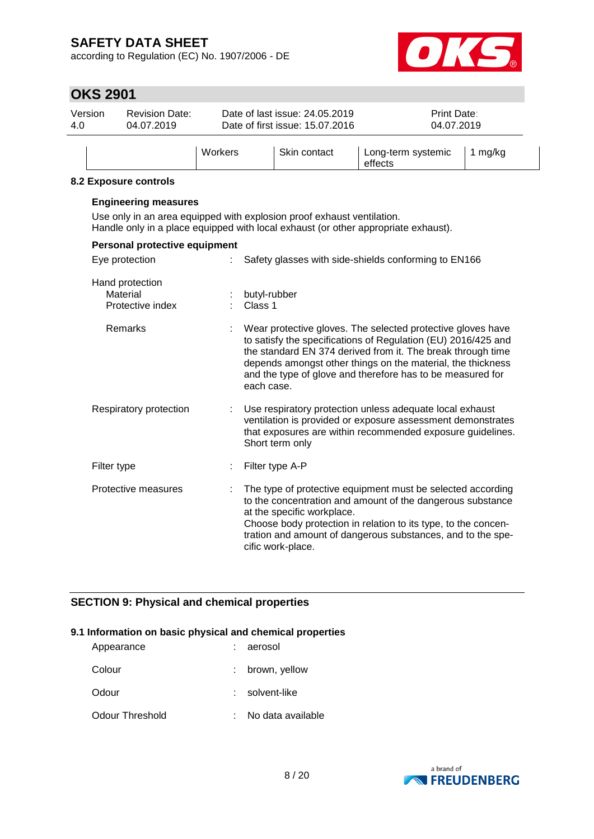according to Regulation (EC) No. 1907/2006 - DE



# **OKS 2901**

| Version<br>4.0 | <b>Revision Date:</b><br>04.07.2019 |         | Date of last issue: 24.05.2019<br>Date of first issue: 15.07.2016 | Print Date:<br>04.07.2019     |         |
|----------------|-------------------------------------|---------|-------------------------------------------------------------------|-------------------------------|---------|
|                |                                     | Workers | Skin contact                                                      | Long-term systemic<br>effects | 1 mg/kg |

### **8.2 Exposure controls**

| <b>LAPUSUIG CUITUUS</b>                         |                                                                                                                                                                                                                                                                                                                                        |
|-------------------------------------------------|----------------------------------------------------------------------------------------------------------------------------------------------------------------------------------------------------------------------------------------------------------------------------------------------------------------------------------------|
| <b>Engineering measures</b>                     | Use only in an area equipped with explosion proof exhaust ventilation.<br>Handle only in a place equipped with local exhaust (or other appropriate exhaust).                                                                                                                                                                           |
| Personal protective equipment                   |                                                                                                                                                                                                                                                                                                                                        |
| Eye protection                                  | Safety glasses with side-shields conforming to EN166                                                                                                                                                                                                                                                                                   |
| Hand protection<br>Material<br>Protective index | butyl-rubber<br>Class 1                                                                                                                                                                                                                                                                                                                |
| Remarks                                         | Wear protective gloves. The selected protective gloves have<br>to satisfy the specifications of Regulation (EU) 2016/425 and<br>the standard EN 374 derived from it. The break through time<br>depends amongst other things on the material, the thickness<br>and the type of glove and therefore has to be measured for<br>each case. |
| Respiratory protection                          | Use respiratory protection unless adequate local exhaust<br>ventilation is provided or exposure assessment demonstrates<br>that exposures are within recommended exposure guidelines.<br>Short term only                                                                                                                               |
| Filter type                                     | Filter type A-P                                                                                                                                                                                                                                                                                                                        |
| Protective measures                             | The type of protective equipment must be selected according<br>to the concentration and amount of the dangerous substance<br>at the specific workplace.<br>Choose body protection in relation to its type, to the concen-<br>tration and amount of dangerous substances, and to the spe-<br>cific work-place.                          |

### **SECTION 9: Physical and chemical properties**

#### **9.1 Information on basic physical and chemical properties**

| Appearance      | : aerosol         |
|-----------------|-------------------|
| Colour          | brown, yellow     |
| Odour           | solvent-like      |
| Odour Threshold | No data available |

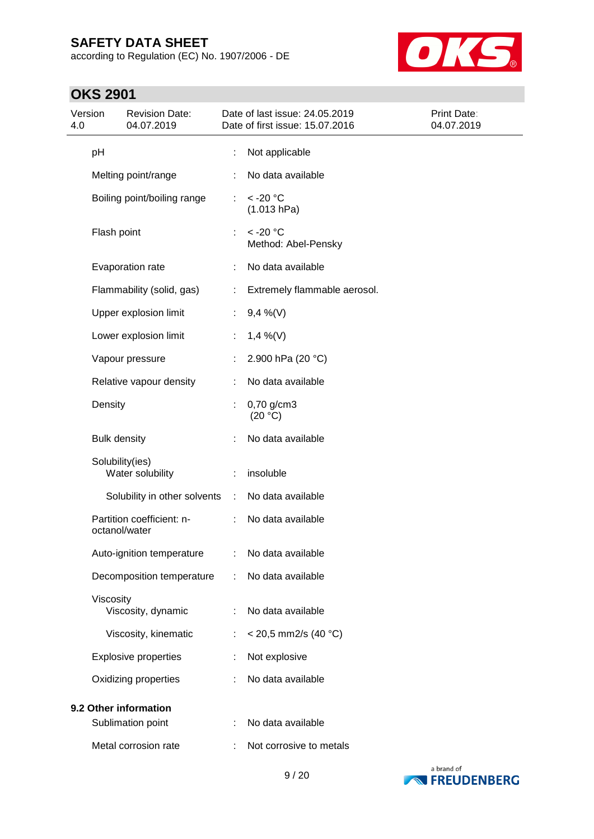according to Regulation (EC) No. 1907/2006 - DE



# **OKS 2901**

| Version<br>4.0 |                     | <b>Revision Date:</b><br>04.07.2019           |                             | Date of last issue: 24.05.2019<br>Date of first issue: 15.07.2016 | Print Date:<br>04.07.2019 |
|----------------|---------------------|-----------------------------------------------|-----------------------------|-------------------------------------------------------------------|---------------------------|
|                | pH                  |                                               | ÷                           | Not applicable                                                    |                           |
|                |                     | Melting point/range                           |                             | No data available                                                 |                           |
|                |                     | Boiling point/boiling range                   | $\mathcal{L}^{\mathcal{L}}$ | $<$ -20 $^{\circ}$ C<br>(1.013 hPa)                               |                           |
|                | Flash point         |                                               |                             | $<$ -20 $^{\circ}$ C<br>Method: Abel-Pensky                       |                           |
|                |                     | Evaporation rate                              | ÷                           | No data available                                                 |                           |
|                |                     | Flammability (solid, gas)                     | ÷                           | Extremely flammable aerosol.                                      |                           |
|                |                     | Upper explosion limit                         | ÷                           | $9,4\%$ (V)                                                       |                           |
|                |                     | Lower explosion limit                         | ÷                           | $1,4\%$ (V)                                                       |                           |
|                |                     | Vapour pressure                               | ÷                           | 2.900 hPa (20 °C)                                                 |                           |
|                |                     | Relative vapour density                       | ÷                           | No data available                                                 |                           |
|                | Density             |                                               |                             | 0,70 g/cm3<br>(20 °C)                                             |                           |
|                | <b>Bulk density</b> |                                               |                             | No data available                                                 |                           |
|                | Solubility(ies)     | Water solubility                              |                             | insoluble                                                         |                           |
|                |                     | Solubility in other solvents                  | ÷.                          | No data available                                                 |                           |
|                | octanol/water       | Partition coefficient: n-                     | ÷                           | No data available                                                 |                           |
|                |                     | Auto-ignition temperature : No data available |                             |                                                                   |                           |
|                |                     | Decomposition temperature                     | ÷                           | No data available                                                 |                           |
|                | Viscosity           | Viscosity, dynamic                            | ÷                           | No data available                                                 |                           |
|                |                     | Viscosity, kinematic                          | ÷                           | < 20,5 mm2/s (40 °C)                                              |                           |
|                |                     | <b>Explosive properties</b>                   |                             | Not explosive                                                     |                           |
|                |                     | Oxidizing properties                          |                             | No data available                                                 |                           |
|                |                     | 9.2 Other information                         |                             |                                                                   |                           |
|                |                     | Sublimation point                             |                             | No data available                                                 |                           |
|                |                     | Metal corrosion rate                          |                             | Not corrosive to metals                                           |                           |

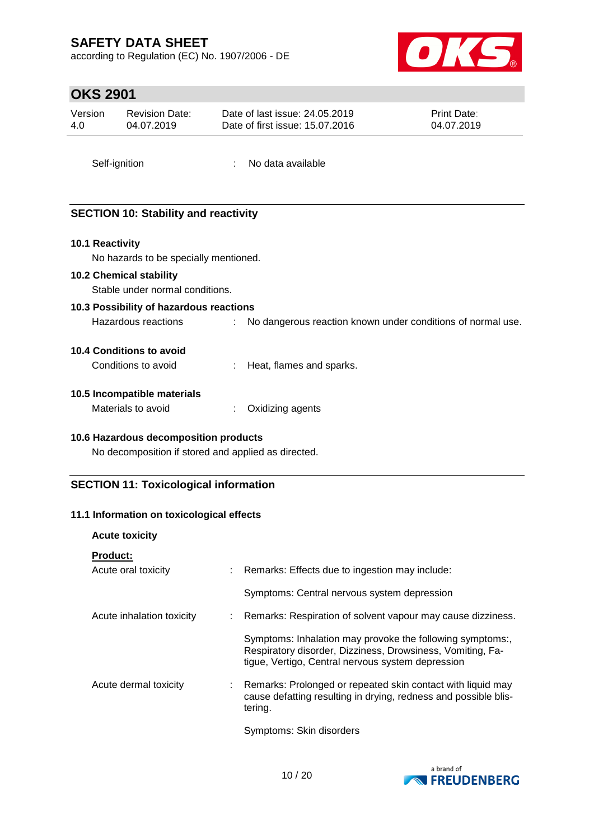according to Regulation (EC) No. 1907/2006 - DE



### **OKS 2901**

| Version | <b>Revision Date:</b> | Date of last issue: 24,05,2019  | <b>Print Date:</b> |
|---------|-----------------------|---------------------------------|--------------------|
| 4.0     | 04.07.2019            | Date of first issue: 15.07.2016 | 04.07.2019         |
|         |                       |                                 |                    |

# **SECTION 10: Stability and reactivity**

#### **10.1 Reactivity**

No hazards to be specially mentioned.

#### **10.2 Chemical stability**

Stable under normal conditions.

### **10.3 Possibility of hazardous reactions**

Hazardous reactions : No dangerous reaction known under conditions of normal use.

#### **10.4 Conditions to avoid**

| Conditions to avoid | Heat, flames and sparks. |
|---------------------|--------------------------|
|---------------------|--------------------------|

Self-ignition : No data available

#### **10.5 Incompatible materials**

| Materials to avoid | Oxidizing agents |
|--------------------|------------------|
|--------------------|------------------|

### **10.6 Hazardous decomposition products**

No decomposition if stored and applied as directed.

### **SECTION 11: Toxicological information**

#### **11.1 Information on toxicological effects**

| <b>Acute toxicity</b>     |                                                                                                                                                                              |
|---------------------------|------------------------------------------------------------------------------------------------------------------------------------------------------------------------------|
| <b>Product:</b>           |                                                                                                                                                                              |
| Acute oral toxicity       | Remarks: Effects due to ingestion may include:                                                                                                                               |
|                           | Symptoms: Central nervous system depression                                                                                                                                  |
| Acute inhalation toxicity | Remarks: Respiration of solvent vapour may cause dizziness.                                                                                                                  |
|                           | Symptoms: Inhalation may provoke the following symptoms:,<br>Respiratory disorder, Dizziness, Drowsiness, Vomiting, Fa-<br>tigue, Vertigo, Central nervous system depression |
| Acute dermal toxicity     | Remarks: Prolonged or repeated skin contact with liquid may<br>cause defatting resulting in drying, redness and possible blis-<br>tering.                                    |
|                           | Symptoms: Skin disorders                                                                                                                                                     |

a brand of **EXECUDENBERG**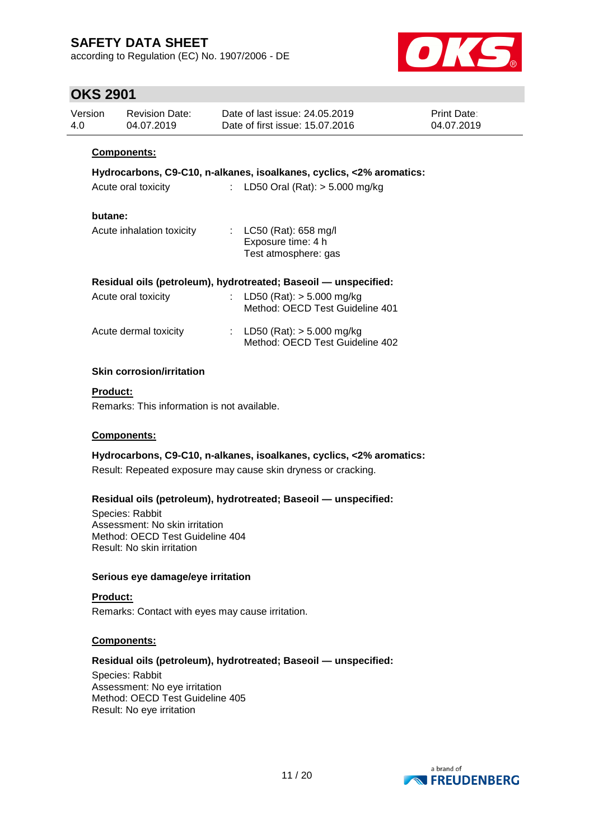according to Regulation (EC) No. 1907/2006 - DE



### **OKS 2901**

| Version<br>4.0 |         | <b>Revision Date:</b><br>04.07.2019 |                           | Date of last issue: 24,05,2019<br>Date of first issue: 15.07.2016      | Print Date:<br>04.07.2019 |
|----------------|---------|-------------------------------------|---------------------------|------------------------------------------------------------------------|---------------------------|
|                |         | <b>Components:</b>                  |                           |                                                                        |                           |
|                |         |                                     |                           | Hydrocarbons, C9-C10, n-alkanes, isoalkanes, cyclics, <2% aromatics:   |                           |
|                |         | Acute oral toxicity                 | $\mathbb{R}^{\mathbb{Z}}$ | LD50 Oral (Rat): $> 5.000$ mg/kg                                       |                           |
|                | butane: |                                     |                           |                                                                        |                           |
|                |         | Acute inhalation toxicity           |                           | : $LC50$ (Rat): 658 mg/l<br>Exposure time: 4 h<br>Test atmosphere: gas |                           |
|                |         |                                     |                           | Residual oils (petroleum), hydrotreated; Baseoil — unspecified:        |                           |
|                |         | Acute oral toxicity                 | $\mathbb{R}^{\mathbb{Z}}$ | LD50 (Rat): $> 5.000$ mg/kg<br>Method: OECD Test Guideline 401         |                           |
|                |         | Acute dermal toxicity               |                           | : LD50 (Rat): $>$ 5.000 mg/kg<br>Method: OECD Test Guideline 402       |                           |
|                |         | <b>Skin corrosion/irritation</b>    |                           |                                                                        |                           |

#### **Product:**

Remarks: This information is not available.

#### **Components:**

**Hydrocarbons, C9-C10, n-alkanes, isoalkanes, cyclics, <2% aromatics:**

Result: Repeated exposure may cause skin dryness or cracking.

#### **Residual oils (petroleum), hydrotreated; Baseoil — unspecified:**

Species: Rabbit Assessment: No skin irritation Method: OECD Test Guideline 404 Result: No skin irritation

#### **Serious eye damage/eye irritation**

**Product:** Remarks: Contact with eyes may cause irritation.

#### **Components:**

### **Residual oils (petroleum), hydrotreated; Baseoil — unspecified:**

Species: Rabbit Assessment: No eye irritation Method: OECD Test Guideline 405 Result: No eye irritation

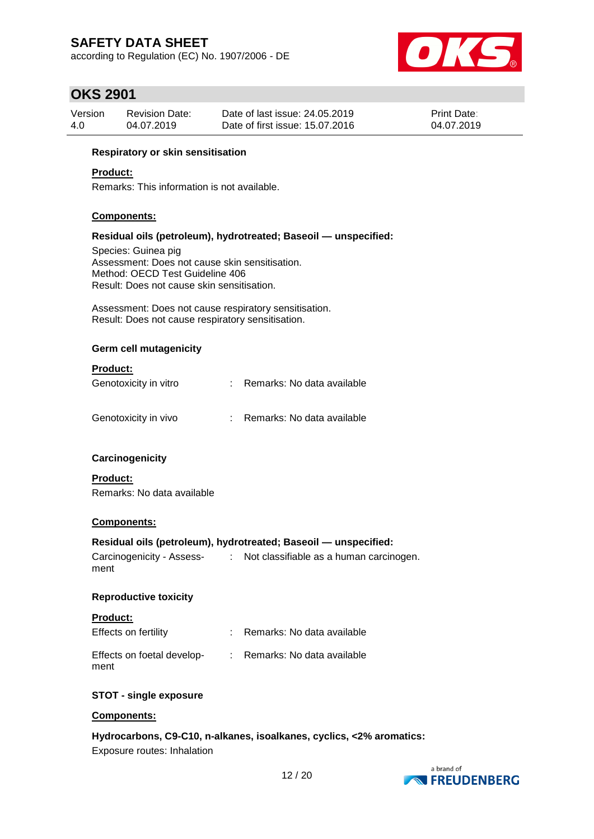according to Regulation (EC) No. 1907/2006 - DE



### **OKS 2901**

| Version | <b>Revision Date:</b> | Date of last issue: 24,05,2019  | <b>Print Date:</b> |
|---------|-----------------------|---------------------------------|--------------------|
| 4.0     | 04.07.2019            | Date of first issue: 15.07.2016 | 04.07.2019         |

#### **Respiratory or skin sensitisation**

#### **Product:**

Remarks: This information is not available.

#### **Components:**

#### **Residual oils (petroleum), hydrotreated; Baseoil — unspecified:**

Species: Guinea pig Assessment: Does not cause skin sensitisation. Method: OECD Test Guideline 406 Result: Does not cause skin sensitisation.

Assessment: Does not cause respiratory sensitisation. Result: Does not cause respiratory sensitisation.

#### **Germ cell mutagenicity**

#### **Product:**

| Genotoxicity in vitro | Remarks: No data available |
|-----------------------|----------------------------|
| Genotoxicity in vivo  | Remarks: No data available |

#### **Carcinogenicity**

**Product:** Remarks: No data available

#### **Components:**

#### **Residual oils (petroleum), hydrotreated; Baseoil — unspecified:**

Carcinogenicity - Assess-: Not classifiable as a human carcinogen. ment

#### **Reproductive toxicity**

| <b>Product:</b>                    |                              |
|------------------------------------|------------------------------|
| Effects on fertility               | : Remarks: No data available |
| Effects on foetal develop-<br>ment | : Remarks: No data available |

### **STOT - single exposure**

#### **Components:**

#### **Hydrocarbons, C9-C10, n-alkanes, isoalkanes, cyclics, <2% aromatics:**

Exposure routes: Inhalation

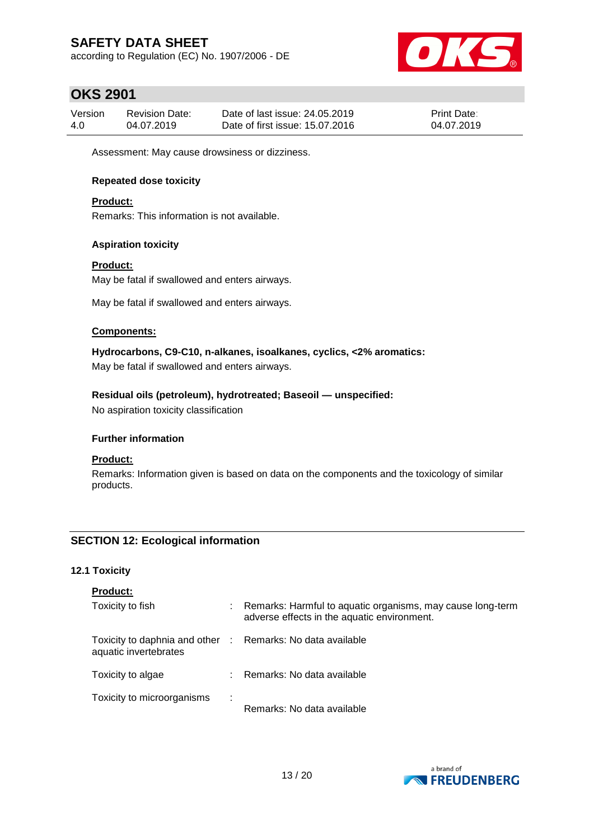according to Regulation (EC) No. 1907/2006 - DE



### **OKS 2901**

| Version | Revision Date: | Date of last issue: 24,05,2019  | <b>Print Date:</b> |
|---------|----------------|---------------------------------|--------------------|
| 4.0     | 04.07.2019     | Date of first issue: 15.07.2016 | 04.07.2019         |

Assessment: May cause drowsiness or dizziness.

### **Repeated dose toxicity**

#### **Product:**

Remarks: This information is not available.

#### **Aspiration toxicity**

#### **Product:**

May be fatal if swallowed and enters airways.

May be fatal if swallowed and enters airways.

#### **Components:**

**Hydrocarbons, C9-C10, n-alkanes, isoalkanes, cyclics, <2% aromatics:**

May be fatal if swallowed and enters airways.

#### **Residual oils (petroleum), hydrotreated; Baseoil — unspecified:**

No aspiration toxicity classification

#### **Further information**

#### **Product:**

Remarks: Information given is based on data on the components and the toxicology of similar products.

### **SECTION 12: Ecological information**

#### **12.1 Toxicity**

| <b>Product:</b> |  |
|-----------------|--|
|                 |  |

| Toxicity to fish                                                                    |   | Remarks: Harmful to aquatic organisms, may cause long-term<br>adverse effects in the aquatic environment. |
|-------------------------------------------------------------------------------------|---|-----------------------------------------------------------------------------------------------------------|
| Toxicity to daphnia and other : Remarks: No data available<br>aquatic invertebrates |   |                                                                                                           |
| Toxicity to algae                                                                   |   | : Remarks: No data available                                                                              |
| Toxicity to microorganisms                                                          | ÷ | Remarks: No data available                                                                                |

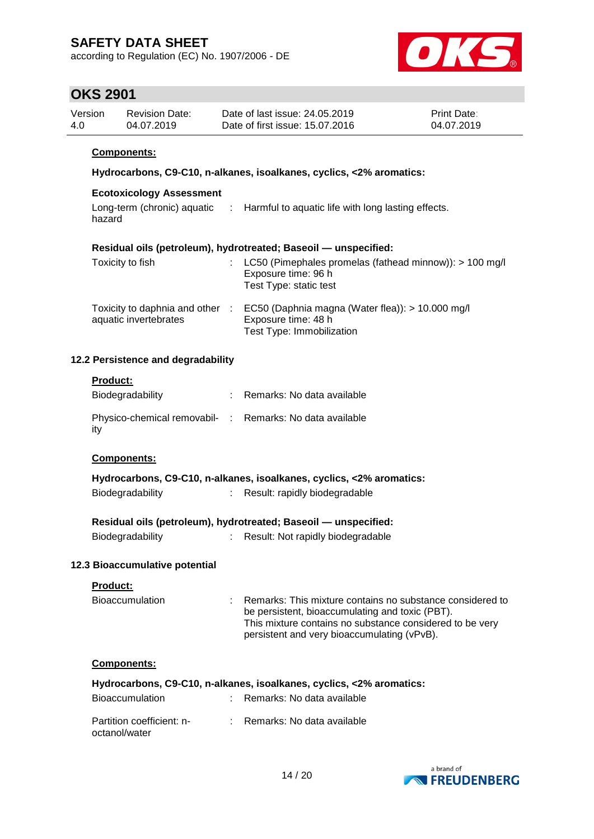according to Regulation (EC) No. 1907/2006 - DE



### **OKS 2901**

| Version | <b>Revision Date:</b> | Date of last issue: 24.05.2019  | <b>Print Date:</b> |
|---------|-----------------------|---------------------------------|--------------------|
| 4.0     | 04.07.2019            | Date of first issue: 15.07.2016 | 04.07.2019         |

### **Components:**

### **Hydrocarbons, C9-C10, n-alkanes, isoalkanes, cyclics, <2% aromatics:**

#### **Ecotoxicology Assessment**

| Long-term (chronic) aquatic | : Harmful to aquatic life with long lasting effects. |
|-----------------------------|------------------------------------------------------|
| hazard                      |                                                      |

#### **Residual oils (petroleum), hydrotreated; Baseoil — unspecified:**

| Toxicity to fish                                       | : LC50 (Pimephales promelas (fathead minnow)): $> 100$ mg/l<br>Exposure time: 96 h<br>Test Type: static test |
|--------------------------------------------------------|--------------------------------------------------------------------------------------------------------------|
| Toxicity to daphnia and other<br>aquatic invertebrates | EC50 (Daphnia magna (Water flea)): $> 10.000$ mg/l<br>Exposure time: 48 h<br>Test Type: Immobilization       |

#### **12.2 Persistence and degradability**

#### **Product:**

| Biodegradability                                                | : Remarks: No data available |
|-----------------------------------------------------------------|------------------------------|
| Physico-chemical removabil- : Remarks: No data available<br>ity |                              |

#### **Components:**

|                  | Hydrocarbons, C9-C10, n-alkanes, isoalkanes, cyclics, <2% aromatics: |
|------------------|----------------------------------------------------------------------|
| Biodegradability | Result: rapidly biodegradable                                        |

#### **Residual oils (petroleum), hydrotreated; Baseoil — unspecified:**

Biodegradability : Result: Not rapidly biodegradable

### **12.3 Bioaccumulative potential**

| <b>Product:</b>                            |   |                                                                                                                                                                                                                         |
|--------------------------------------------|---|-------------------------------------------------------------------------------------------------------------------------------------------------------------------------------------------------------------------------|
| <b>Bioaccumulation</b>                     | ÷ | Remarks: This mixture contains no substance considered to<br>be persistent, bioaccumulating and toxic (PBT).<br>This mixture contains no substance considered to be very<br>persistent and very bioaccumulating (vPvB). |
| Components:                                |   |                                                                                                                                                                                                                         |
|                                            |   | Hydrocarbons, C9-C10, n-alkanes, isoalkanes, cyclics, <2% aromatics:                                                                                                                                                    |
| <b>Bioaccumulation</b>                     |   | $\therefore$ Remarks: No data available                                                                                                                                                                                 |
| Partition coefficient: n-<br>octanol/water |   | $\therefore$ Remarks: No data available                                                                                                                                                                                 |

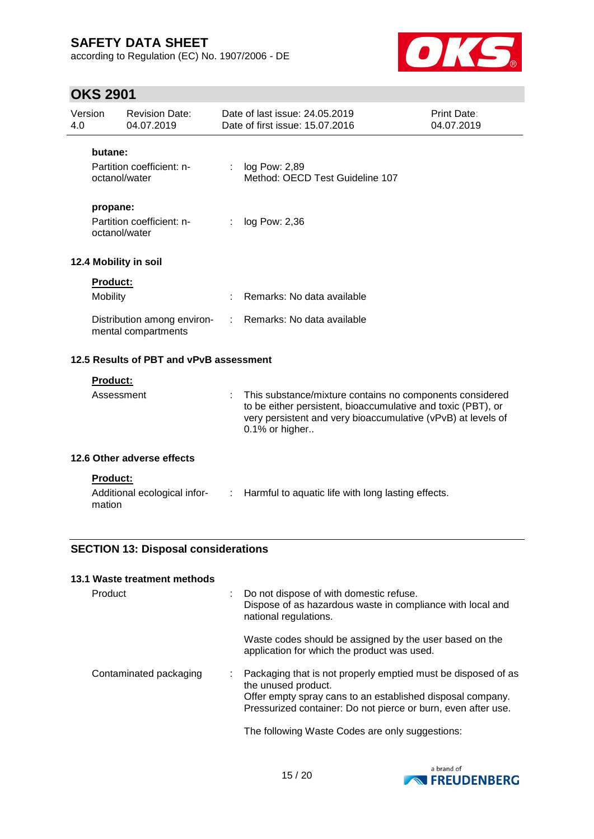according to Regulation (EC) No. 1907/2006 - DE



# **OKS 2901**

| Version<br>4.0 |                                            | <b>Revision Date:</b><br>04.07.2019                |    | Date of last issue: 24.05.2019<br>Date of first issue: 15.07.2016                                                                                                                                          | Print Date:<br>04.07.2019 |
|----------------|--------------------------------------------|----------------------------------------------------|----|------------------------------------------------------------------------------------------------------------------------------------------------------------------------------------------------------------|---------------------------|
|                | butane:                                    | Partition coefficient: n-<br>octanol/water         |    | log Pow: 2,89<br>Method: OECD Test Guideline 107                                                                                                                                                           |                           |
|                | propane:                                   | Partition coefficient: n-<br>octanol/water         | t. | log Pow: 2,36                                                                                                                                                                                              |                           |
|                |                                            | 12.4 Mobility in soil                              |    |                                                                                                                                                                                                            |                           |
|                | <b>Product:</b><br>Mobility                |                                                    |    | Remarks: No data available                                                                                                                                                                                 |                           |
|                |                                            | Distribution among environ-<br>mental compartments | ÷. | Remarks: No data available                                                                                                                                                                                 |                           |
|                |                                            | 12.5 Results of PBT and vPvB assessment            |    |                                                                                                                                                                                                            |                           |
|                | <b>Product:</b><br>Assessment              |                                                    | ÷  | This substance/mixture contains no components considered<br>to be either persistent, bioaccumulative and toxic (PBT), or<br>very persistent and very bioaccumulative (vPvB) at levels of<br>0.1% or higher |                           |
|                |                                            | 12.6 Other adverse effects                         |    |                                                                                                                                                                                                            |                           |
|                | <b>Product:</b><br>mation                  | Additional ecological infor-                       |    | : Harmful to aquatic life with long lasting effects.                                                                                                                                                       |                           |
|                | <b>SECTION 13: Disposal considerations</b> |                                                    |    |                                                                                                                                                                                                            |                           |

| 13.1 Waste treatment methods |                                                                                                                                                                                                                     |
|------------------------------|---------------------------------------------------------------------------------------------------------------------------------------------------------------------------------------------------------------------|
| Product                      | Do not dispose of with domestic refuse.<br>Dispose of as hazardous waste in compliance with local and<br>national regulations.                                                                                      |
|                              | Waste codes should be assigned by the user based on the<br>application for which the product was used.                                                                                                              |
| Contaminated packaging       | Packaging that is not properly emptied must be disposed of as<br>the unused product.<br>Offer empty spray cans to an established disposal company.<br>Pressurized container: Do not pierce or burn, even after use. |
|                              | The following Waste Codes are only suggestions:                                                                                                                                                                     |

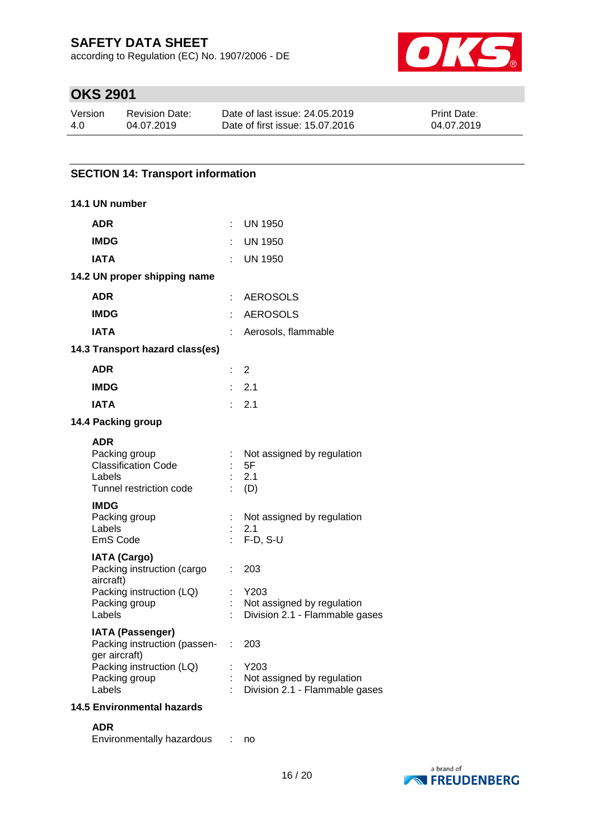according to Regulation (EC) No. 1907/2006 - DE



# **OKS 2901**

| Version | Revision Date: | Date of last issue: 24,05,2019  | <b>Print Date:</b> |
|---------|----------------|---------------------------------|--------------------|
| 4.0     | 04.07.2019     | Date of first issue: 15.07.2016 | 04.07.2019         |

### **SECTION 14: Transport information**

| 14.1 UN number                                                                                 |    |                                                                      |
|------------------------------------------------------------------------------------------------|----|----------------------------------------------------------------------|
| <b>ADR</b>                                                                                     | ÷  | UN 1950                                                              |
| <b>IMDG</b>                                                                                    |    | UN 1950                                                              |
| IATA                                                                                           |    | UN 1950                                                              |
| 14.2 UN proper shipping name                                                                   |    |                                                                      |
| <b>ADR</b>                                                                                     |    | : AEROSOLS                                                           |
| <b>IMDG</b>                                                                                    | ŧ. | <b>AEROSOLS</b>                                                      |
| <b>IATA</b>                                                                                    | t. | Aerosols, flammable                                                  |
| 14.3 Transport hazard class(es)                                                                |    |                                                                      |
| <b>ADR</b>                                                                                     |    | $\overline{2}$                                                       |
| <b>IMDG</b>                                                                                    |    | : 2.1                                                                |
| <b>IATA</b>                                                                                    |    | : 2.1                                                                |
| 14.4 Packing group                                                                             |    |                                                                      |
| <b>ADR</b><br>Packing group<br><b>Classification Code</b><br>Labels<br>Tunnel restriction code |    | Not assigned by regulation<br>5F<br>2.1<br>(D)                       |
| <b>IMDG</b><br>Packing group<br>Labels<br>EmS Code                                             | t  | Not assigned by regulation<br>2.1<br>$F-D, S-U$                      |
| <b>IATA (Cargo)</b><br>Packing instruction (cargo<br>aircraft)                                 | ÷  | 203                                                                  |
| Packing instruction (LQ)<br>Packing group<br>Labels                                            |    | Y203<br>Not assigned by regulation<br>Division 2.1 - Flammable gases |
| <b>IATA (Passenger)</b><br>Packing instruction (passen-<br>ger aircraft)                       |    | 203                                                                  |
| Packing instruction (LQ)<br>Packing group<br>Labels                                            |    | Y203<br>Not assigned by regulation<br>Division 2.1 - Flammable gases |
| <b>14.5 Environmental hazards</b>                                                              |    |                                                                      |
| <b>ADR</b><br>Environmentally hazardous                                                        |    | no                                                                   |

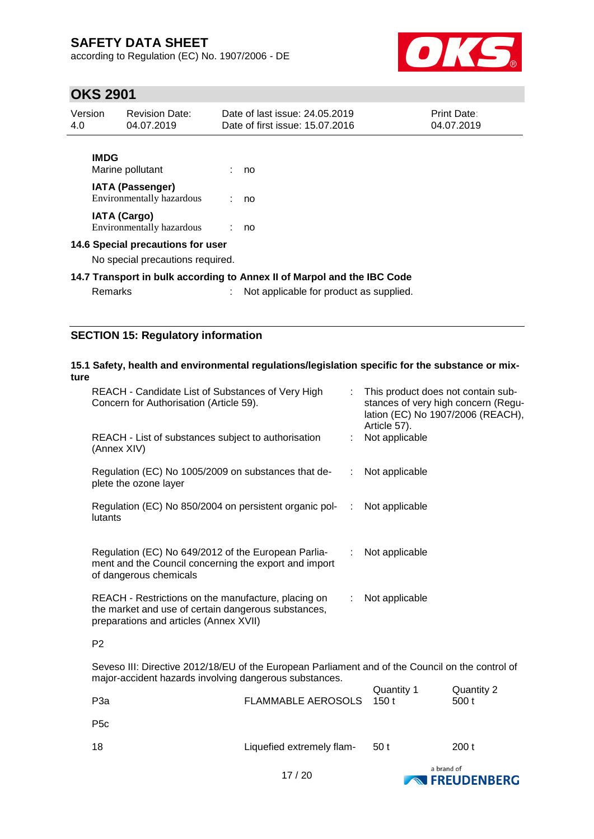according to Regulation (EC) No. 1907/2006 - DE



### **OKS 2901**

| Version<br>4.0 | <b>Revision Date:</b><br>04.07.2019                                   | Date of last issue: 24,05,2019<br>Date of first issue: 15.07.2016                                                  | <b>Print Date:</b><br>04.07.2019 |
|----------------|-----------------------------------------------------------------------|--------------------------------------------------------------------------------------------------------------------|----------------------------------|
|                | <b>IMDG</b><br>Marine pollutant                                       | : no                                                                                                               |                                  |
|                | <b>IATA (Passenger)</b><br>Environmentally hazardous                  | : no                                                                                                               |                                  |
|                | <b>IATA (Cargo)</b><br>Environmentally hazardous                      | : no                                                                                                               |                                  |
|                | 14.6 Special precautions for user<br>No special precautions required. |                                                                                                                    |                                  |
|                | Remarks                                                               | 14.7 Transport in bulk according to Annex II of Marpol and the IBC Code<br>Not applicable for product as supplied. |                                  |

### **SECTION 15: Regulatory information**

### **15.1 Safety, health and environmental regulations/legislation specific for the substance or mixture**

| REACH - Candidate List of Substances of Very High<br>Concern for Authorisation (Article 59).                                                         |    | : This product does not contain sub-<br>stances of very high concern (Regu-<br>lation (EC) No 1907/2006 (REACH),<br>Article 57). |
|------------------------------------------------------------------------------------------------------------------------------------------------------|----|----------------------------------------------------------------------------------------------------------------------------------|
| REACH - List of substances subject to authorisation<br>(Annex XIV)                                                                                   |    | : Not applicable                                                                                                                 |
| Regulation (EC) No 1005/2009 on substances that de-<br>plete the ozone layer                                                                         |    | Not applicable                                                                                                                   |
| Regulation (EC) No 850/2004 on persistent organic pol-<br>lutants                                                                                    | ÷  | Not applicable                                                                                                                   |
| Regulation (EC) No 649/2012 of the European Parlia-<br>ment and the Council concerning the export and import<br>of dangerous chemicals               | ÷. | Not applicable                                                                                                                   |
| REACH - Restrictions on the manufacture, placing on<br>the market and use of certain dangerous substances,<br>preparations and articles (Annex XVII) | ÷. | Not applicable                                                                                                                   |
| P <sub>2</sub>                                                                                                                                       |    |                                                                                                                                  |

Seveso III: Directive 2012/18/EU of the European Parliament and of the Council on the control of major-accident hazards involving dangerous substances.  $Quantiv 1$  Quantity 2

| P <sub>3</sub> a | FLAMMABLE AEROSOLS 150 t  | Quantity 1 | Quantity 2<br>500 t |
|------------------|---------------------------|------------|---------------------|
| P <sub>5</sub> c |                           |            |                     |
| 18               | Liquefied extremely flam- | 50 t       | 200t                |
|                  |                           | a hrand of |                     |

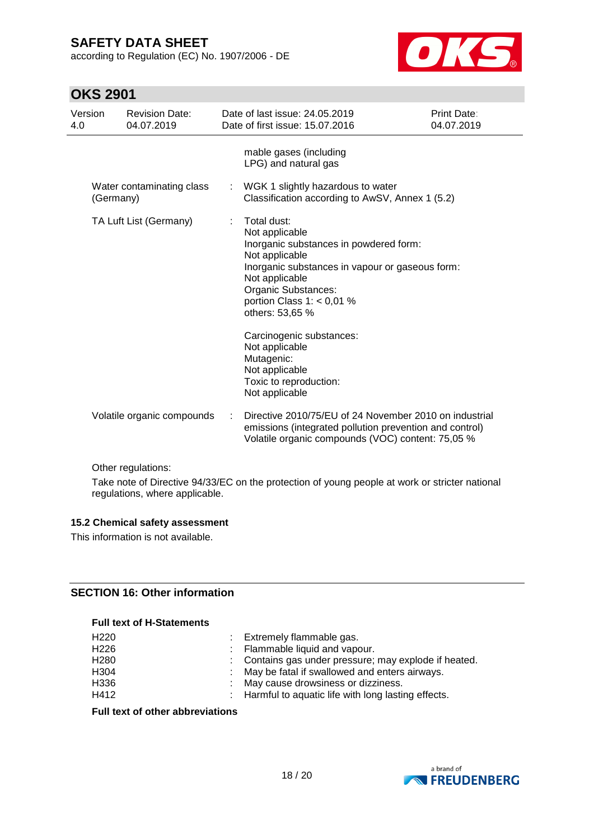according to Regulation (EC) No. 1907/2006 - DE



# **OKS 2901**

| Version<br>4.0 |           | <b>Revision Date:</b><br>04.07.2019 |   | Date of last issue: 24.05.2019<br>Date of first issue: 15.07.2016                                                                                                                                                                                                                                                                                                 | Print Date:<br>04.07.2019 |
|----------------|-----------|-------------------------------------|---|-------------------------------------------------------------------------------------------------------------------------------------------------------------------------------------------------------------------------------------------------------------------------------------------------------------------------------------------------------------------|---------------------------|
|                |           |                                     |   | mable gases (including<br>LPG) and natural gas                                                                                                                                                                                                                                                                                                                    |                           |
|                | (Germany) | Water contaminating class           | ÷ | WGK 1 slightly hazardous to water<br>Classification according to AwSV, Annex 1 (5.2)                                                                                                                                                                                                                                                                              |                           |
|                |           | TA Luft List (Germany)              |   | Total dust:<br>Not applicable<br>Inorganic substances in powdered form:<br>Not applicable<br>Inorganic substances in vapour or gaseous form:<br>Not applicable<br>Organic Substances:<br>portion Class 1: $< 0.01$ %<br>others: 53,65 %<br>Carcinogenic substances:<br>Not applicable<br>Mutagenic:<br>Not applicable<br>Toxic to reproduction:<br>Not applicable |                           |
|                |           | Volatile organic compounds          |   | Directive 2010/75/EU of 24 November 2010 on industrial<br>emissions (integrated pollution prevention and control)<br>Volatile organic compounds (VOC) content: 75,05 %                                                                                                                                                                                            |                           |
|                |           | Other regulations:                  |   | Take note of Directive 94/33/EC on the protection of young people at work or stricter national                                                                                                                                                                                                                                                                    |                           |

regulations, where applicable.

#### **15.2 Chemical safety assessment**

This information is not available.

#### **SECTION 16: Other information**

### **Full text of H-Statements**

| H <sub>220</sub> | : Extremely flammable gas.                            |
|------------------|-------------------------------------------------------|
| H <sub>226</sub> | : Flammable liquid and vapour.                        |
| H <sub>280</sub> | : Contains gas under pressure; may explode if heated. |
| H304             | : May be fatal if swallowed and enters airways.       |
| H336             | : May cause drowsiness or dizziness.                  |
| H412             | : Harmful to aquatic life with long lasting effects.  |
|                  |                                                       |

### **Full text of other abbreviations**

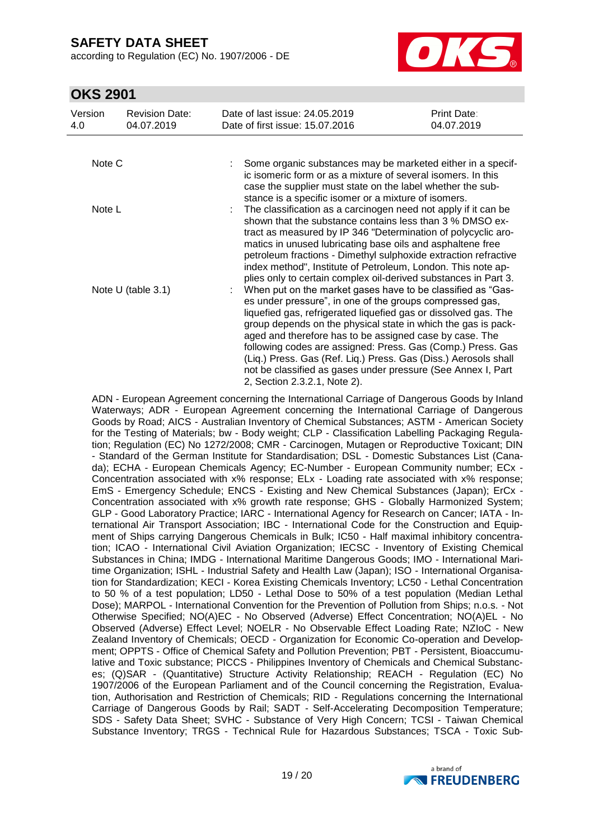according to Regulation (EC) No. 1907/2006 - DE



### **OKS 2901**

| Version<br>4.0     | <b>Revision Date:</b><br>04.07.2019 | Date of last issue: 24,05,2019<br>Date of first issue: 15.07.2016                                                                                                                                                                                                                                                                                                                                                                                                                         | Print Date:<br>04.07.2019                                                                                                                                                                                                                                                                                                                                                                    |  |  |  |  |
|--------------------|-------------------------------------|-------------------------------------------------------------------------------------------------------------------------------------------------------------------------------------------------------------------------------------------------------------------------------------------------------------------------------------------------------------------------------------------------------------------------------------------------------------------------------------------|----------------------------------------------------------------------------------------------------------------------------------------------------------------------------------------------------------------------------------------------------------------------------------------------------------------------------------------------------------------------------------------------|--|--|--|--|
|                    |                                     |                                                                                                                                                                                                                                                                                                                                                                                                                                                                                           |                                                                                                                                                                                                                                                                                                                                                                                              |  |  |  |  |
| Note C             |                                     | ic isomeric form or as a mixture of several isomers. In this<br>case the supplier must state on the label whether the sub-<br>stance is a specific isomer or a mixture of isomers.                                                                                                                                                                                                                                                                                                        | Some organic substances may be marketed either in a specif-                                                                                                                                                                                                                                                                                                                                  |  |  |  |  |
| Note L             |                                     | plies only to certain complex oil-derived substances in Part 3.                                                                                                                                                                                                                                                                                                                                                                                                                           | The classification as a carcinogen need not apply if it can be<br>shown that the substance contains less than 3 % DMSO ex-<br>tract as measured by IP 346 "Determination of polycyclic aro-<br>matics in unused lubricating base oils and asphaltene free<br>petroleum fractions - Dimethyl sulphoxide extraction refractive<br>index method", Institute of Petroleum, London. This note ap- |  |  |  |  |
| Note U (table 3.1) |                                     | When put on the market gases have to be classified as "Gas-<br>es under pressure", in one of the groups compressed gas,<br>liquefied gas, refrigerated liquefied gas or dissolved gas. The<br>group depends on the physical state in which the gas is pack-<br>aged and therefore has to be assigned case by case. The<br>(Liq.) Press. Gas (Ref. Liq.) Press. Gas (Diss.) Aerosols shall<br>not be classified as gases under pressure (See Annex I, Part<br>2, Section 2.3.2.1, Note 2). | following codes are assigned: Press. Gas (Comp.) Press. Gas                                                                                                                                                                                                                                                                                                                                  |  |  |  |  |

ADN - European Agreement concerning the International Carriage of Dangerous Goods by Inland Waterways; ADR - European Agreement concerning the International Carriage of Dangerous Goods by Road; AICS - Australian Inventory of Chemical Substances; ASTM - American Society for the Testing of Materials; bw - Body weight; CLP - Classification Labelling Packaging Regulation; Regulation (EC) No 1272/2008; CMR - Carcinogen, Mutagen or Reproductive Toxicant; DIN - Standard of the German Institute for Standardisation; DSL - Domestic Substances List (Canada); ECHA - European Chemicals Agency; EC-Number - European Community number; ECx - Concentration associated with x% response; ELx - Loading rate associated with x% response; EmS - Emergency Schedule; ENCS - Existing and New Chemical Substances (Japan); ErCx - Concentration associated with x% growth rate response; GHS - Globally Harmonized System; GLP - Good Laboratory Practice; IARC - International Agency for Research on Cancer; IATA - International Air Transport Association; IBC - International Code for the Construction and Equipment of Ships carrying Dangerous Chemicals in Bulk; IC50 - Half maximal inhibitory concentration; ICAO - International Civil Aviation Organization; IECSC - Inventory of Existing Chemical Substances in China; IMDG - International Maritime Dangerous Goods; IMO - International Maritime Organization; ISHL - Industrial Safety and Health Law (Japan); ISO - International Organisation for Standardization; KECI - Korea Existing Chemicals Inventory; LC50 - Lethal Concentration to 50 % of a test population; LD50 - Lethal Dose to 50% of a test population (Median Lethal Dose); MARPOL - International Convention for the Prevention of Pollution from Ships; n.o.s. - Not Otherwise Specified; NO(A)EC - No Observed (Adverse) Effect Concentration; NO(A)EL - No Observed (Adverse) Effect Level; NOELR - No Observable Effect Loading Rate; NZIoC - New Zealand Inventory of Chemicals; OECD - Organization for Economic Co-operation and Development; OPPTS - Office of Chemical Safety and Pollution Prevention; PBT - Persistent, Bioaccumulative and Toxic substance; PICCS - Philippines Inventory of Chemicals and Chemical Substances; (Q)SAR - (Quantitative) Structure Activity Relationship; REACH - Regulation (EC) No 1907/2006 of the European Parliament and of the Council concerning the Registration, Evaluation, Authorisation and Restriction of Chemicals; RID - Regulations concerning the International Carriage of Dangerous Goods by Rail; SADT - Self-Accelerating Decomposition Temperature; SDS - Safety Data Sheet; SVHC - Substance of Very High Concern; TCSI - Taiwan Chemical Substance Inventory; TRGS - Technical Rule for Hazardous Substances; TSCA - Toxic Sub-